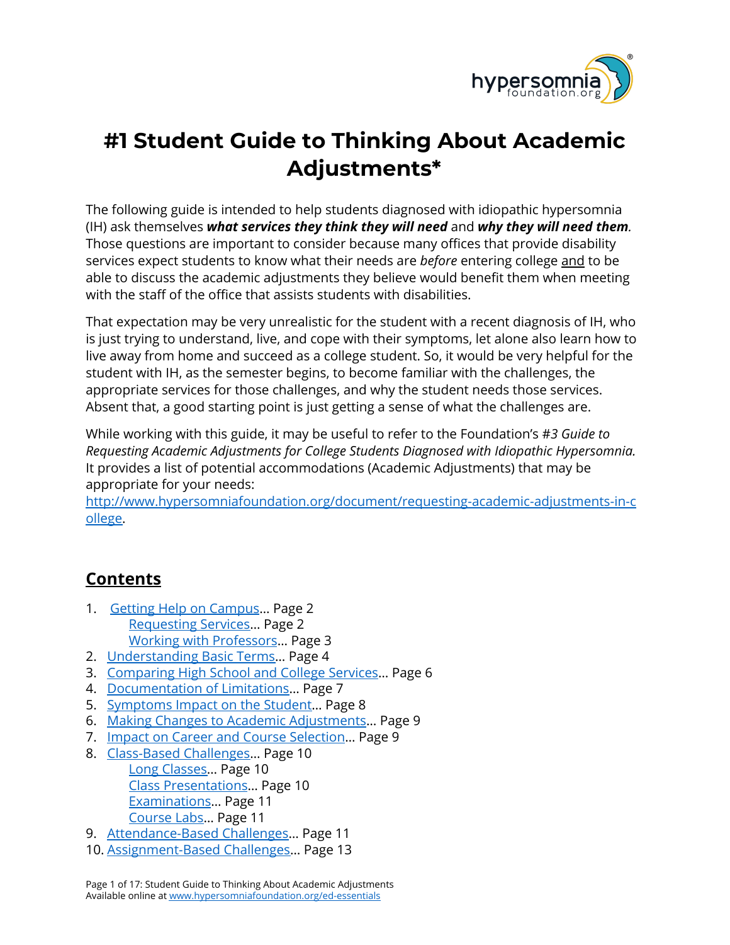

# **#1 Student Guide to Thinking About Academic Adjustments\***

The following guide is intended to help students diagnosed with idiopathic hypersomnia (IH) ask themselves *what services they think they will need* and *why they will need them.* Those questions are important to consider because many offices that provide disability services expect students to know what their needs are *before* entering college and to be able to discuss the academic adjustments they believe would benefit them when meeting with the staff of the office that assists students with disabilities.

That expectation may be very unrealistic for the student with a recent diagnosis of IH, who is just trying to understand, live, and cope with their symptoms, let alone also learn how to live away from home and succeed as a college student. So, it would be very helpful for the student with IH, as the semester begins, to become familiar with the challenges, the appropriate services for those challenges, and why the student needs those services. Absent that, a good starting point is just getting a sense of what the challenges are.

While working with this guide, it may be useful to refer to the Foundation's #*3 Guide to Requesting Academic Adjustments for College Students Diagnosed with Idiopathic Hypersomnia.* It provides a list of potential accommodations (Academic Adjustments) that may be appropriate for your needs:

[http://www.hypersomniafoundation.org/document/requesting-academic-adjustments-in-c](http://www.hypersomniafoundation.org/document/requesting-academic-adjustments-in-college) [ollege.](http://www.hypersomniafoundation.org/document/requesting-academic-adjustments-in-college)

## <span id="page-0-0"></span>**Contents**

- 1. Getting Help on Campus... Page 2 [Requesting](#page-1-1) Services… Page 2 Working with [Professors](#page-2-0)… Page 3
- 2. [Understanding](#page-3-0) Basic Terms… Page 4
- 3. [Comparing](#page-5-0) High School and College Services… Page 6
- 4. [Documentation](#page-6-0) of Limitations… Page 7
- 5. [Symptoms](#page-7-0) Impact on the Student… Page 8
- 6. Making Changes to Academic [Adjustments…](#page-8-0) Page 9
- 7. Impact on Career and Course [Selection…](#page-8-1) Page 9
- 8. [Class-Based](#page-9-0) Challenges… Page 10 Long [Classes…](#page-9-1) Page 10 Class [Presentations…](#page-9-2) Page 10 [Examinations](#page-10-0)… Page 11 [Course](#page-10-1) Labs… Page 11
- 9. [Attendance-Based](#page-10-2) Challenges… Page 11
- 10. [Assignment-Based](#page-12-0) Challenges… Page 13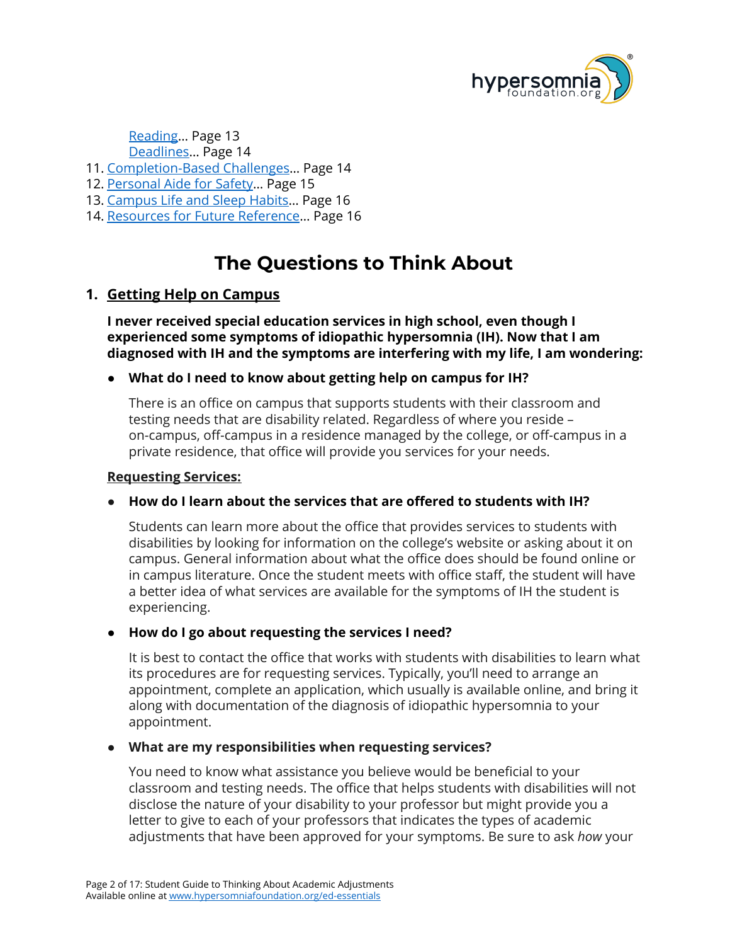

[Reading](#page-12-1)… Page 13 [Deadlines…](#page-13-0) Page 14

- 11. [Completion-Based](#page-13-1) Challenges… Page 14
- 12. [Personal](#page-14-0) Aide for Safety… Page 15
- 13. [Campus](#page-15-0) Life and Sleep Habits… Page 16
- 14. [Resources](#page-15-1) for Future Reference... Page 16

## **The Questions to Think About**

#### <span id="page-1-0"></span>**1. Getting Help on Campus**

**I never received special education services in high school, even though I experienced some symptoms of idiopathic hypersomnia (IH). Now that I am diagnosed with IH and the symptoms are interfering with my life, I am wondering:**

#### **● What do I need to know about getting help on campus for IH?**

There is an office on campus that supports students with their classroom and testing needs that are disability related. Regardless of where you reside – on-campus, off-campus in a residence managed by the college, or off-campus in a private residence, that office will provide you services for your needs.

#### <span id="page-1-1"></span>**Requesting Services:**

#### ● **How do I learn about the services that are offered to students with IH?**

Students can learn more about the office that provides services to students with disabilities by looking for information on the college's website or asking about it on campus. General information about what the office does should be found online or in campus literature. Once the student meets with office staff, the student will have a better idea of what services are available for the symptoms of IH the student is experiencing.

#### **● How do I go about requesting the services I need?**

It is best to contact the office that works with students with disabilities to learn what its procedures are for requesting services. Typically, you'll need to arrange an appointment, complete an application, which usually is available online, and bring it along with documentation of the diagnosis of idiopathic hypersomnia to your appointment.

#### **● What are my responsibilities when requesting services?**

You need to know what assistance you believe would be beneficial to your classroom and testing needs. The office that helps students with disabilities will not disclose the nature of your disability to your professor but might provide you a letter to give to each of your professors that indicates the types of academic adjustments that have been approved for your symptoms. Be sure to ask *how* your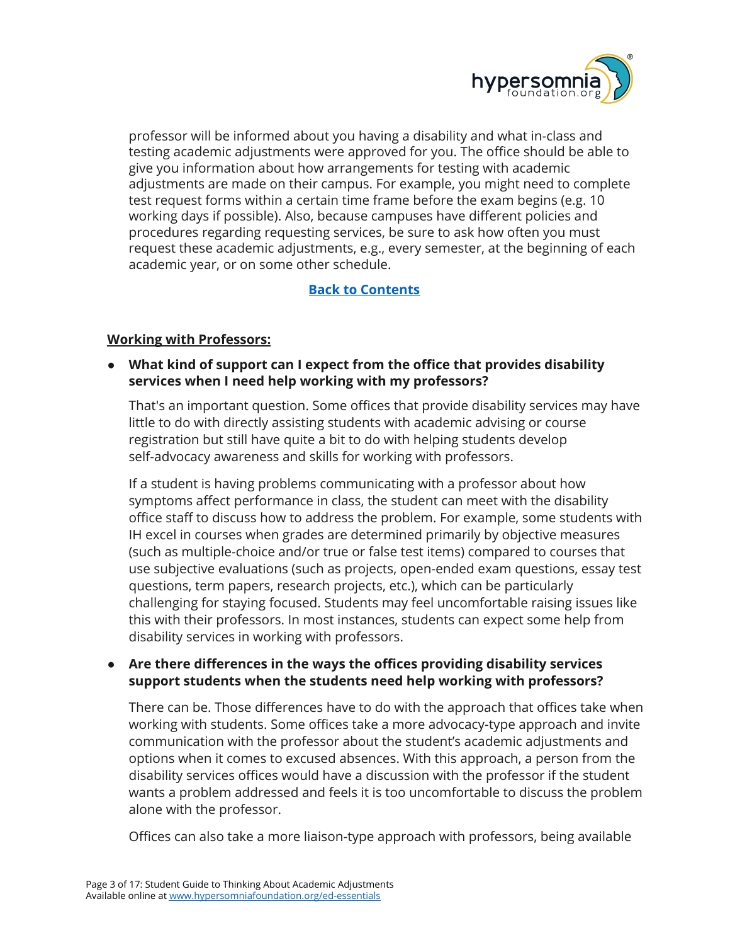

professor will be informed about you having a disability and what in-class and testing academic adjustments were approved for you. The office should be able to give you information about how arrangements for testing with academic adjustments are made on their campus. For example, you might need to complete test request forms within a certain time frame before the exam begins (e.g. 10 working days if possible). Also, because campuses have different policies and procedures regarding requesting services, be sure to ask how often you must request these academic adjustments, e.g., every semester, at the beginning of each academic year, or on some other schedule.

## **Back to [Contents](#page-0-0)**

#### <span id="page-2-0"></span>**Working with Professors:**

● **What kind of support can I expect from the office that provides disability services when I need help working with my professors?**

That's an important question. Some offices that provide disability services may have little to do with directly assisting students with academic advising or course registration but still have quite a bit to do with helping students develop self-advocacy awareness and skills for working with professors.

If a student is having problems communicating with a professor about how symptoms affect performance in class, the student can meet with the disability office staff to discuss how to address the problem. For example, some students with IH excel in courses when grades are determined primarily by objective measures (such as multiple-choice and/or true or false test items) compared to courses that use subjective evaluations (such as projects, open-ended exam questions, essay test questions, term papers, research projects, etc.), which can be particularly challenging for staying focused. Students may feel uncomfortable raising issues like this with their professors. In most instances, students can expect some help from disability services in working with professors.

#### **● Are there differences in the ways the offices providing disability services support students when the students need help working with professors?**

There can be. Those differences have to do with the approach that offices take when working with students. Some offices take a more advocacy-type approach and invite communication with the professor about the student's academic adjustments and options when it comes to excused absences. With this approach, a person from the disability services offices would have a discussion with the professor if the student wants a problem addressed and feels it is too uncomfortable to discuss the problem alone with the professor.

Offices can also take a more liaison-type approach with professors, being available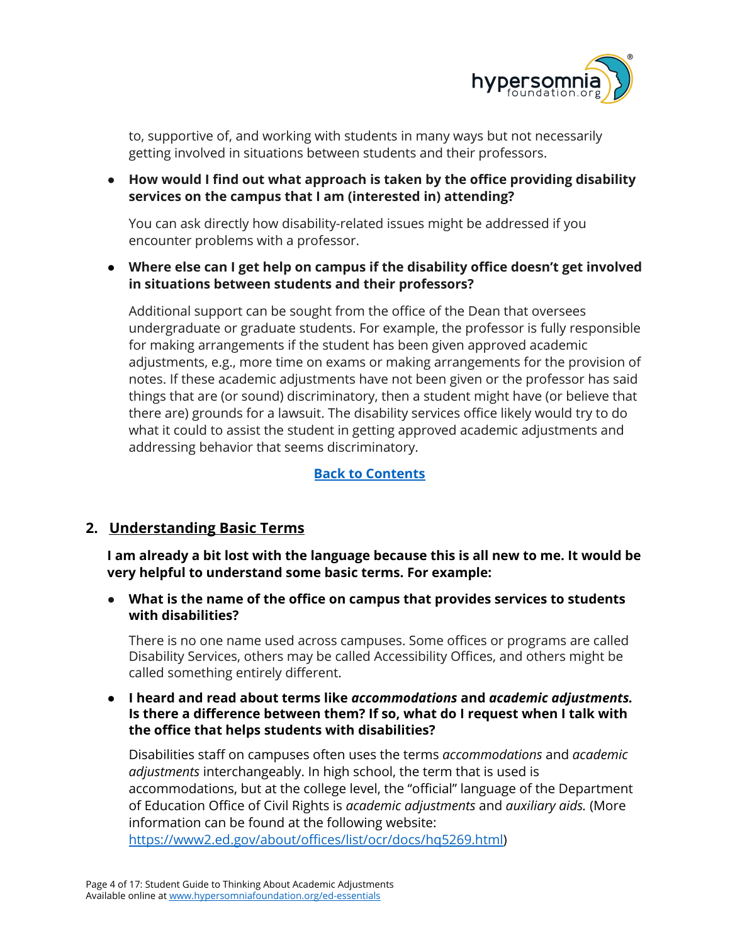

to, supportive of, and working with students in many ways but not necessarily getting involved in situations between students and their professors.

**● How would I find out what approach is taken by the office providing disability services on the campus that I am (interested in) attending?**

You can ask directly how disability-related issues might be addressed if you encounter problems with a professor.

**● Where else can I get help on campus if the disability office doesn't get involved in situations between students and their professors?**

Additional support can be sought from the office of the Dean that oversees undergraduate or graduate students. For example, the professor is fully responsible for making arrangements if the student has been given approved academic adjustments, e.g., more time on exams or making arrangements for the provision of notes. If these academic adjustments have not been given or the professor has said things that are (or sound) discriminatory, then a student might have (or believe that there are) grounds for a lawsuit. The disability services office likely would try to do what it could to assist the student in getting approved academic adjustments and addressing behavior that seems discriminatory.

#### **Back to [Contents](#page-0-0)**

## <span id="page-3-0"></span>**2. Understanding Basic Terms**

**I am already a bit lost with the language because this is all new to me. It would be very helpful to understand some basic terms. For example:**

● **What is the name of the office on campus that provides services to students with disabilities?**

There is no one name used across campuses. Some offices or programs are called Disability Services, others may be called Accessibility Offices, and others might be called something entirely different.

#### **● I heard and read about terms like** *accommodations* **and** *academic adjustments.* **Is there a difference between them? If so, what do I request when I talk with the office that helps students with disabilities?**

Disabilities staff on campuses often uses the terms *accommodations* and *academic adjustments* interchangeably. In high school, the term that is used is accommodations, but at the college level, the "official" language of the Department of Education Office of Civil Rights is *academic adjustments* and *auxiliary aids.* (More information can be found at the following website:

<https://www2.ed.gov/about/offices/list/ocr/docs/hq5269.html>)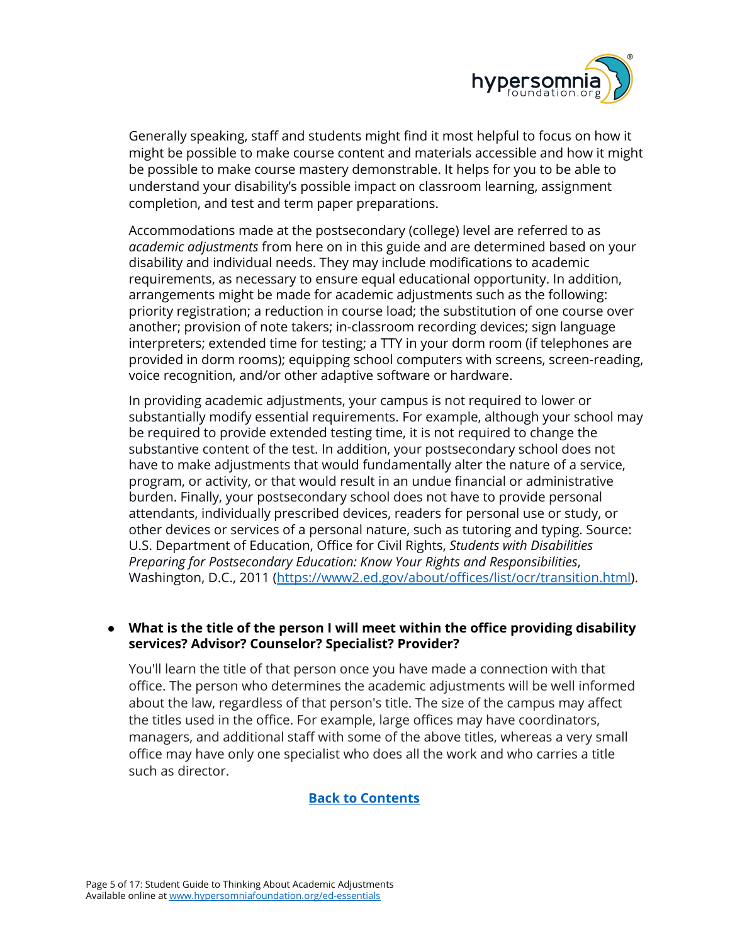

Generally speaking, staff and students might find it most helpful to focus on how it might be possible to make course content and materials accessible and how it might be possible to make course mastery demonstrable. It helps for you to be able to understand your disability's possible impact on classroom learning, assignment completion, and test and term paper preparations.

Accommodations made at the postsecondary (college) level are referred to as *academic adjustments* from here on in this guide and are determined based on your disability and individual needs. They may include modifications to academic requirements, as necessary to ensure equal educational opportunity. In addition, arrangements might be made for academic adjustments such as the following: priority registration; a reduction in course load; the substitution of one course over another; provision of note takers; in-classroom recording devices; sign language interpreters; extended time for testing; a TTY in your dorm room (if telephones are provided in dorm rooms); equipping school computers with screens, screen-reading, voice recognition, and/or other adaptive software or hardware.

In providing academic adjustments, your campus is not required to lower or substantially modify essential requirements. For example, although your school may be required to provide extended testing time, it is not required to change the substantive content of the test. In addition, your postsecondary school does not have to make adjustments that would fundamentally alter the nature of a service, program, or activity, or that would result in an undue financial or administrative burden. Finally, your postsecondary school does not have to provide personal attendants, individually prescribed devices, readers for personal use or study, or other devices or services of a personal nature, such as tutoring and typing. Source: U.S. Department of Education, Office for Civil Rights, *Students with Disabilities Preparing for Postsecondary Education: Know Your Rights and Responsibilities*, Washington, D.C., 2011 [\(https://www2.ed.gov/about/offices/list/ocr/transition.html\)](https://www2.ed.gov/about/offices/list/ocr/transition.html).

#### **● What is the title of the person I will meet within the office providing disability services? Advisor? Counselor? Specialist? Provider?**

You'll learn the title of that person once you have made a connection with that office. The person who determines the academic adjustments will be well informed about the law, regardless of that person's title. The size of the campus may affect the titles used in the office. For example, large offices may have coordinators, managers, and additional staff with some of the above titles, whereas a very small office may have only one specialist who does all the work and who carries a title such as director.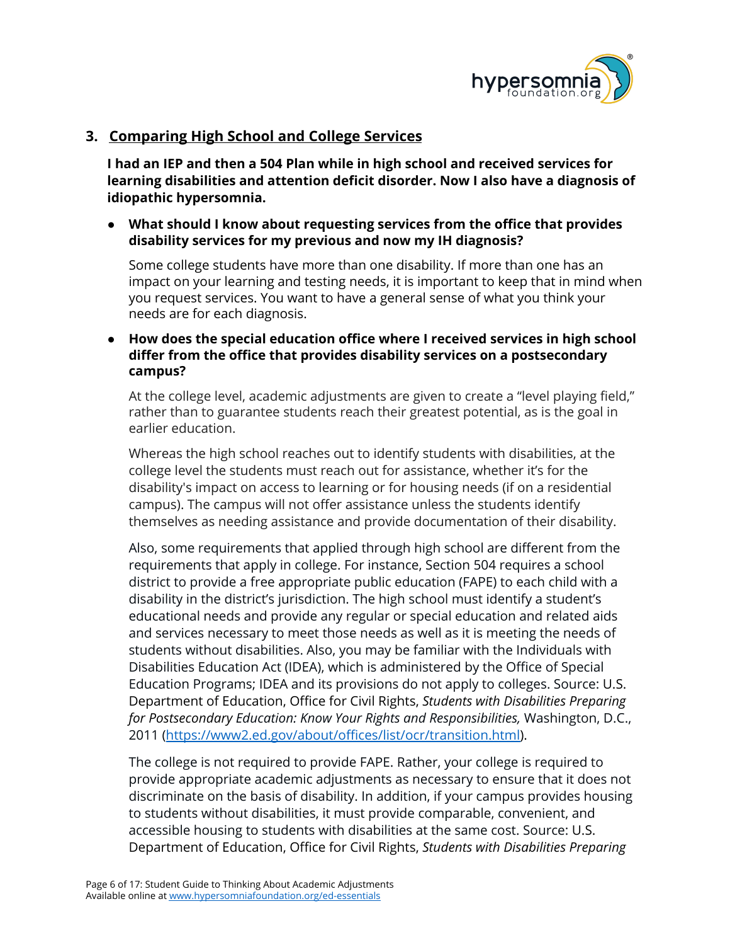

## <span id="page-5-0"></span>**3. Comparing High School and College Services**

**I had an IEP and then a 504 Plan while in high school and received services for learning disabilities and attention deficit disorder. Now I also have a diagnosis of idiopathic hypersomnia.**

#### **● What should I know about requesting services from the office that provides disability services for my previous and now my IH diagnosis?**

Some college students have more than one disability. If more than one has an impact on your learning and testing needs, it is important to keep that in mind when you request services. You want to have a general sense of what you think your needs are for each diagnosis.

**● How does the special education office where I received services in high school differ from the office that provides disability services on a postsecondary campus?**

At the college level, academic adjustments are given to create a "level playing field," rather than to guarantee students reach their greatest potential, as is the goal in earlier education.

Whereas the high school reaches out to identify students with disabilities, at the college level the students must reach out for assistance, whether it's for the disability's impact on access to learning or for housing needs (if on a residential campus). The campus will not offer assistance unless the students identify themselves as needing assistance and provide documentation of their disability.

Also, some requirements that applied through high school are different from the requirements that apply in college. For instance, Section 504 requires a school district to provide a free appropriate public education (FAPE) to each child with a disability in the district's jurisdiction. The high school must identify a student's educational needs and provide any regular or special education and related aids and services necessary to meet those needs as well as it is meeting the needs of students without disabilities. Also, you may be familiar with the Individuals with Disabilities Education Act (IDEA), which is administered by the Office of Special Education Programs; IDEA and its provisions do not apply to colleges. Source: U.S. Department of Education, Office for Civil Rights, *Students with Disabilities Preparing for Postsecondary Education: Know Your Rights and Responsibilities,* Washington, D.C., 2011 (<https://www2.ed.gov/about/offices/list/ocr/transition.html>).

The college is not required to provide FAPE. Rather, your college is required to provide appropriate academic adjustments as necessary to ensure that it does not discriminate on the basis of disability. In addition, if your campus provides housing to students without disabilities, it must provide comparable, convenient, and accessible housing to students with disabilities at the same cost. Source: U.S. Department of Education, Office for Civil Rights, *Students with Disabilities Preparing*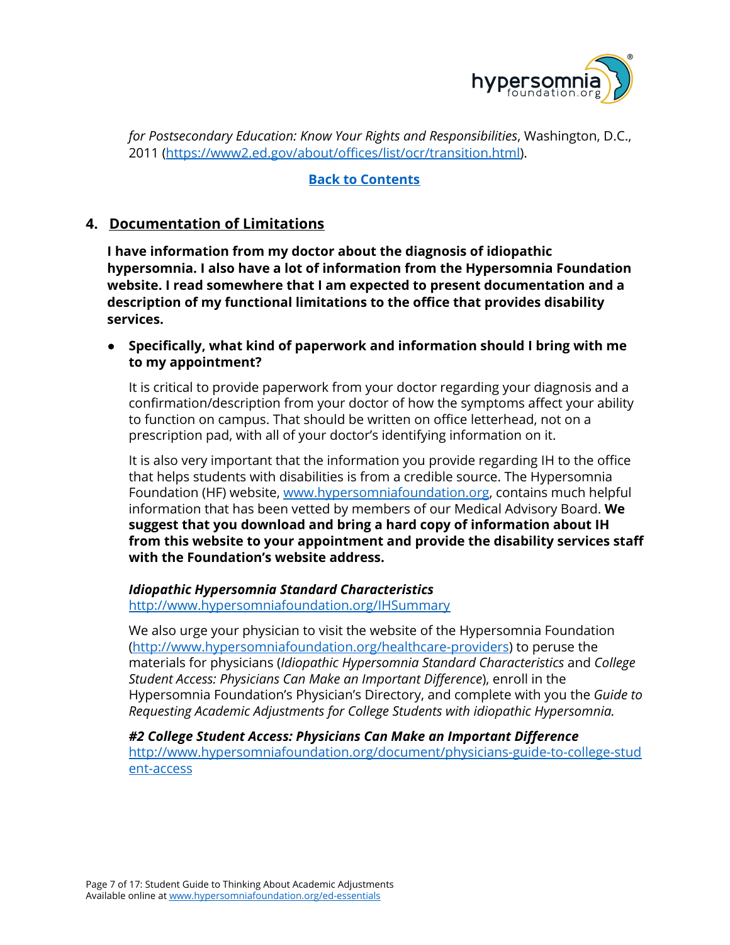

*for Postsecondary Education: Know Your Rights and Responsibilities*, Washington, D.C., 2011 (<https://www2.ed.gov/about/offices/list/ocr/transition.html>).

#### **Back to [Contents](#page-0-0)**

## <span id="page-6-0"></span>**4. Documentation of Limitations**

**I have information from my doctor about the diagnosis of idiopathic hypersomnia. I also have a lot of information from the Hypersomnia Foundation website. I read somewhere that I am expected to present documentation and a description of my functional limitations to the office that provides disability services.**

**● Specifically, what kind of paperwork and information should I bring with me to my appointment?**

It is critical to provide paperwork from your doctor regarding your diagnosis and a confirmation/description from your doctor of how the symptoms affect your ability to function on campus. That should be written on office letterhead, not on a prescription pad, with all of your doctor's identifying information on it.

It is also very important that the information you provide regarding IH to the office that helps students with disabilities is from a credible source. The Hypersomnia Foundation (HF) website, [www.hypersomniafoundation.org](http://www.hypersomniafoundation.org/), contains much helpful information that has been vetted by members of our Medical Advisory Board. **We suggest that you download and bring a hard copy of information about IH from this website to your appointment and provide the disability services staff with the Foundation's website address.**

## *Idiopathic Hypersomnia Standard Characteristics*

<http://www.hypersomniafoundation.org/IHSummary>

We also urge your physician to visit the website of the Hypersomnia Foundation [\(http://www.hypersomniafoundation.org/healthcare-providers](http://www.hypersomniafoundation.org/healthcare-providers)) to peruse the materials for physicians (*Idiopathic Hypersomnia Standard Characteristics* and *College Student Access: Physicians Can Make an Important Difference*), enroll in the Hypersomnia Foundation's Physician's Directory, and complete with you the *Guide to Requesting Academic Adjustments for College Students with idiopathic Hypersomnia.*

*#2 College Student Access: Physicians Can Make an Important Difference* [http://www.hypersomniafoundation.org/document/physicians-guide-to-college-stud](http://www.hypersomniafoundation.org/document/physicians-guide-to-college-student-access) [ent-access](http://www.hypersomniafoundation.org/document/physicians-guide-to-college-student-access)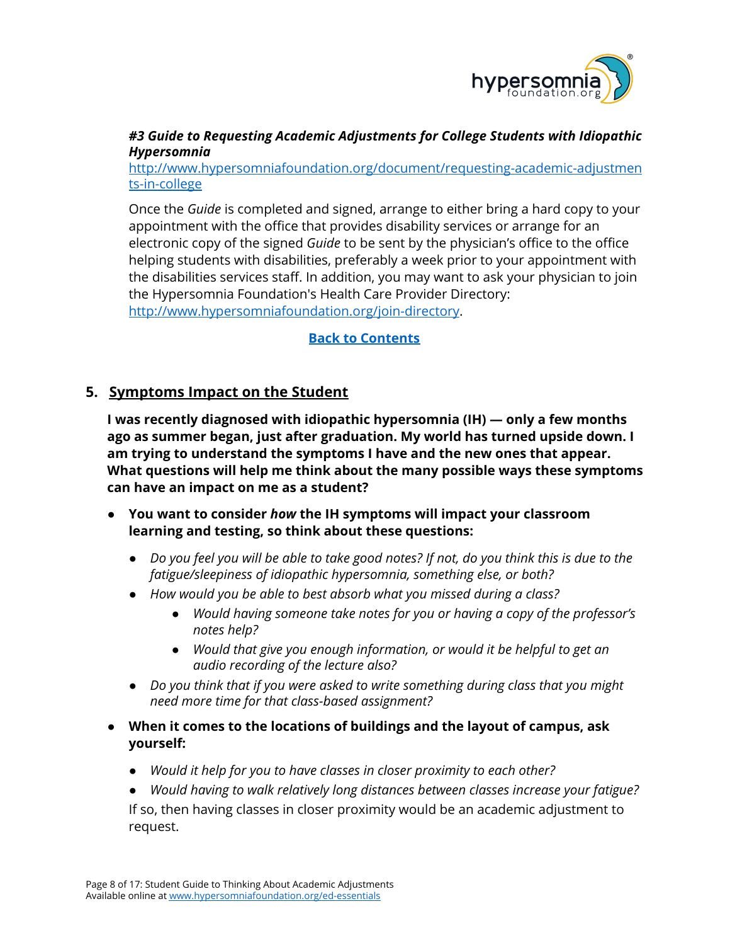

#### *#3 Guide to Requesting Academic Adjustments for College Students with Idiopathic Hypersomnia*

[http://www.hypersomniafoundation.org/document/requesting-academic-adjustmen](http://www.hypersomniafoundation.org/document/requesting-academic-adjustments-in-college) [ts-in-college](http://www.hypersomniafoundation.org/document/requesting-academic-adjustments-in-college)

Once the *Guide* is completed and signed, arrange to either bring a hard copy to your appointment with the office that provides disability services or arrange for an electronic copy of the signed *Guide* to be sent by the physician's office to the office helping students with disabilities, preferably a week prior to your appointment with the disabilities services staff. In addition, you may want to ask your physician to join the Hypersomnia Foundation's Health Care Provider Directory: [http://www.hypersomniafoundation.org/join-directory.](http://www.hypersomniafoundation.org/join-directory)

#### **Back to [Contents](#page-0-0)**

## <span id="page-7-0"></span>**5. Symptoms Impact on the Student**

**I was recently diagnosed with idiopathic hypersomnia (IH) — only a few months ago as summer began, just after graduation. My world has turned upside down. I am trying to understand the symptoms I have and the new ones that appear. What questions will help me think about the many possible ways these symptoms can have an impact on me as a student?**

- **● You want to consider** *how* **the IH symptoms will impact your classroom learning and testing, so think about these questions:**
	- Do you feel you will be able to take good notes? If not, do you think this is due to the *fatigue/sleepiness of idiopathic hypersomnia, something else, or both?*
	- *● How would you be able to best absorb what you missed during a class?*
		- *● Would having someone take notes for you or having a copy of the professor's notes help?*
		- *● Would that give you enough information, or would it be helpful to get an audio recording of the lecture also?*
	- *● Do you think that if you were asked to write something during class that you might need more time for that class-based assignment?*
- **● When it comes to the locations of buildings and the layout of campus, ask yourself:**
	- *● Would it help for you to have classes in closer proximity to each other?*
	- *● Would having to walk relatively long distances between classes increase your fatigue?*

If so, then having classes in closer proximity would be an academic adjustment to request.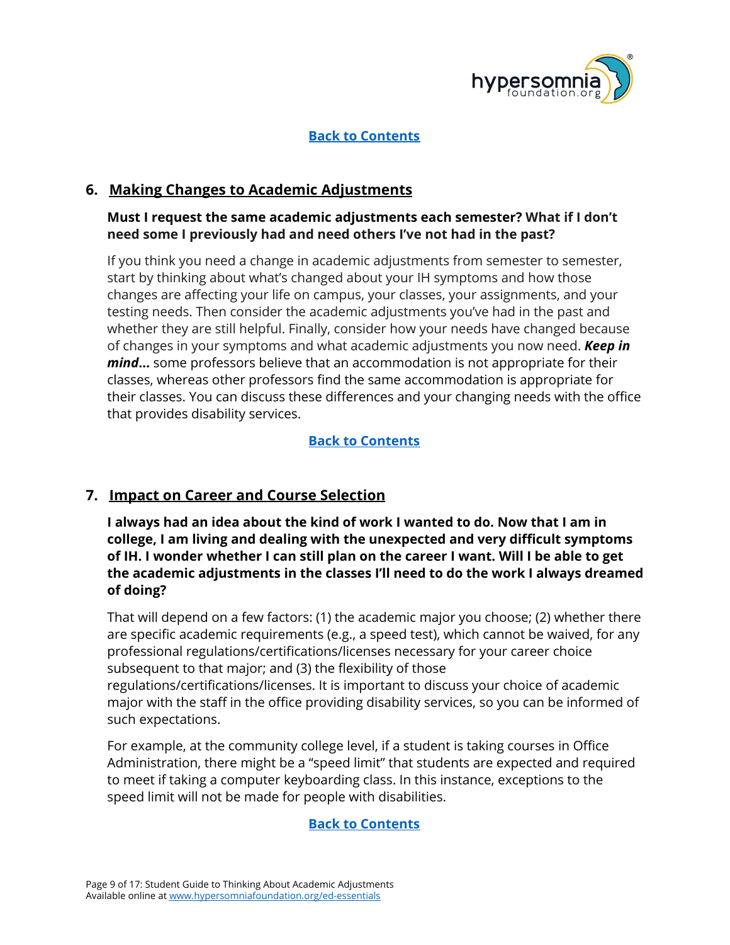

## **Back to [Contents](#page-0-0)**

## <span id="page-8-0"></span>**6. Making Changes to Academic Adjustments**

#### **Must I request the same academic adjustments each semester? What if I don't need some I previously had and need others I've not had in the past?**

If you think you need a change in academic adjustments from semester to semester, start by thinking about what's changed about your IH symptoms and how those changes are affecting your life on campus, your classes, your assignments, and your testing needs. Then consider the academic adjustments you've had in the past and whether they are still helpful. Finally, consider how your needs have changed because of changes in your symptoms and what academic adjustments you now need. *Keep in mind***…** some professors believe that an accommodation is not appropriate for their classes, whereas other professors find the same accommodation is appropriate for their classes. You can discuss these differences and your changing needs with the office that provides disability services.

## **Back to [Contents](#page-0-0)**

## <span id="page-8-1"></span>**7. Impact on Career and Course Selection**

**I always had an idea about the kind of work I wanted to do. Now that I am in college, I am living and dealing with the unexpected and very difficult symptoms of IH. I wonder whether I can still plan on the career I want. Will I be able to get the academic adjustments in the classes I'll need to do the work I always dreamed of doing?**

That will depend on a few factors: (1) the academic major you choose; (2) whether there are specific academic requirements (e.g., a speed test), which cannot be waived, for any professional regulations/certifications/licenses necessary for your career choice subsequent to that major; and (3) the flexibility of those regulations/certifications/licenses. It is important to discuss your choice of academic major with the staff in the office providing disability services, so you can be informed of such expectations.

For example, at the community college level, if a student is taking courses in Office Administration, there might be a "speed limit" that students are expected and required to meet if taking a computer keyboarding class. In this instance, exceptions to the speed limit will not be made for people with disabilities.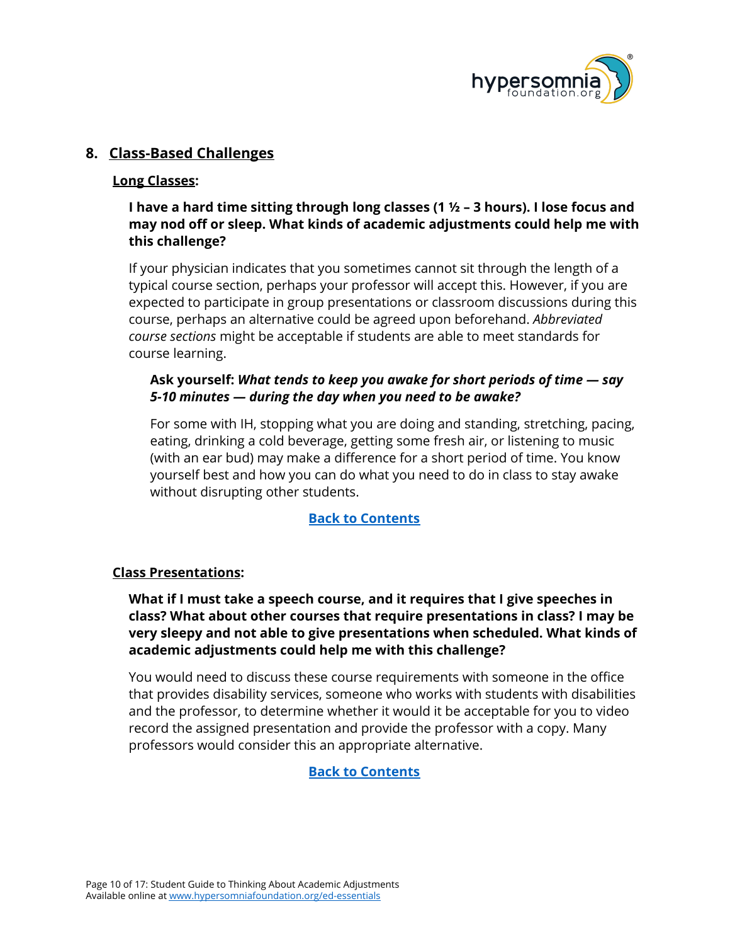

## <span id="page-9-0"></span>**8. Class-Based Challenges**

#### <span id="page-9-1"></span>**Long Classes:**

## **I have a hard time sitting through long classes (1 ½ – 3 hours). I lose focus and may nod off or sleep. What kinds of academic adjustments could help me with this challenge?**

If your physician indicates that you sometimes cannot sit through the length of a typical course section, perhaps your professor will accept this. However, if you are expected to participate in group presentations or classroom discussions during this course, perhaps an alternative could be agreed upon beforehand. *Abbreviated course sections* might be acceptable if students are able to meet standards for course learning.

#### **Ask yourself:** *What tends to keep you awake for short periods of time — say 5-10 minutes — during the day when you need to be awake?*

For some with IH, stopping what you are doing and standing, stretching, pacing, eating, drinking a cold beverage, getting some fresh air, or listening to music (with an ear bud) may make a difference for a short period of time. You know yourself best and how you can do what you need to do in class to stay awake without disrupting other students.

#### **Back to [Contents](#page-0-0)**

#### <span id="page-9-2"></span>**Class Presentations:**

#### **What if I must take a speech course, and it requires that I give speeches in class? What about other courses that require presentations in class? I may be very sleepy and not able to give presentations when scheduled. What kinds of academic adjustments could help me with this challenge?**

You would need to discuss these course requirements with someone in the office that provides disability services, someone who works with students with disabilities and the professor, to determine whether it would it be acceptable for you to video record the assigned presentation and provide the professor with a copy. Many professors would consider this an appropriate alternative.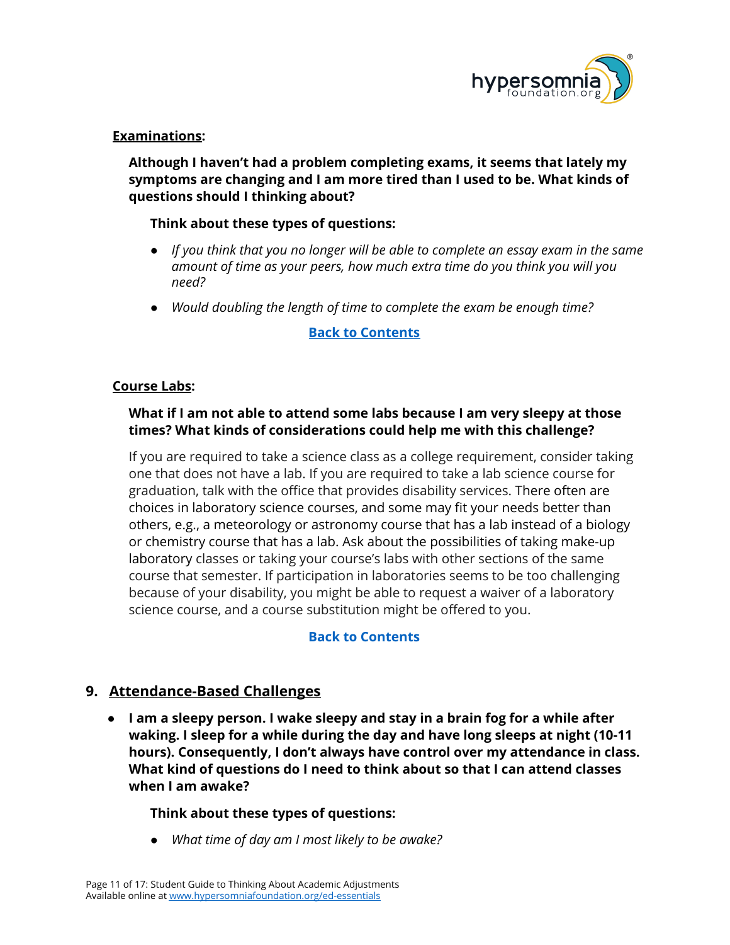

#### <span id="page-10-0"></span>**Examinations:**

**Although I haven't had a problem completing exams, it seems that lately my symptoms are changing and I am more tired than I used to be. What kinds of questions should I thinking about?**

#### **Think about these types of questions:**

- *● If you think that you no longer will be able to complete an essay exam in the same amount of time as your peers, how much extra time do you think you will you need?*
- *● Would doubling the length of time to complete the exam be enough time?*

#### **Back to [Contents](#page-0-0)**

#### <span id="page-10-1"></span>**Course Labs:**

#### **What if I am not able to attend some labs because I am very sleepy at those times? What kinds of considerations could help me with this challenge?**

If you are required to take a science class as a college requirement, consider taking one that does not have a lab. If you are required to take a lab science course for graduation, talk with the office that provides disability services. There often are choices in laboratory science courses, and some may fit your needs better than others, e.g., a meteorology or astronomy course that has a lab instead of a biology or chemistry course that has a lab. Ask about the possibilities of taking make-up laboratory classes or taking your course's labs with other sections of the same course that semester. If participation in laboratories seems to be too challenging because of your disability, you might be able to request a waiver of a laboratory science course, and a course substitution might be offered to you.

#### **Back to [Contents](#page-0-0)**

## <span id="page-10-2"></span>**9. Attendance-Based Challenges**

**● I am a sleepy person. I wake sleepy and stay in a brain fog for a while after waking. I sleep for a while during the day and have long sleeps at night (10-11 hours). Consequently, I don't always have control over my attendance in class. What kind of questions do I need to think about so that I can attend classes when I am awake?**

#### **Think about these types of questions:**

*● What time of day am I most likely to be awake?*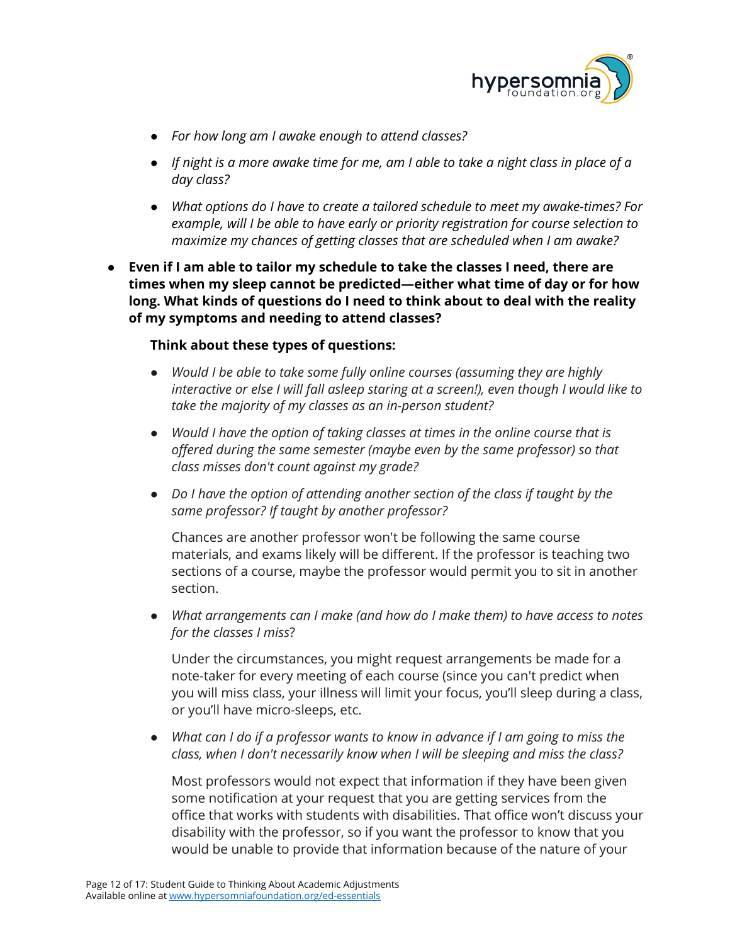

- *● For how long am I awake enough to attend classes?*
- If night is a more awake time for me, am I able to take a night class in place of a *day class?*
- *● What options do I have to create a tailored schedule to meet my awake-times? For example, will I be able to have early or priority registration for course selection to maximize my chances of getting classes that are scheduled when I am awake?*
- **● Even if I am able to tailor my schedule to take the classes I need, there are times when my sleep cannot be predicted—either what time of day or for how long. What kinds of questions do I need to think about to deal with the reality of my symptoms and needing to attend classes?**

#### **Think about these types of questions:**

- **●** *Would I be able to take some fully online courses (assuming they are highly interactive or else I will fall asleep staring at a screen!), even though I would like to take the majority of my classes as an in-person student?*
- *● Would I have the option of taking classes at times in the online course that is offered during the same semester (maybe even by the same professor) so that class misses don't count against my grade?*
- *Do I have the option of attending another section of the class if taught by the same professor? If taught by another professor?*

Chances are another professor won't be following the same course materials, and exams likely will be different. If the professor is teaching two sections of a course, maybe the professor would permit you to sit in another section.

● *What arrangements can I make (and how do I make them) to have access to notes for the classes I miss*?

Under the circumstances, you might request arrangements be made for a note-taker for every meeting of each course (since you can't predict when you will miss class, your illness will limit your focus, you'll sleep during a class, or you'll have micro-sleeps, etc.

*● What can I do if a professor wants to know in advance if I am going to miss the class, when I don't necessarily know when I will be sleeping and miss the class?*

Most professors would not expect that information if they have been given some notification at your request that you are getting services from the office that works with students with disabilities. That office won't discuss your disability with the professor, so if you want the professor to know that you would be unable to provide that information because of the nature of your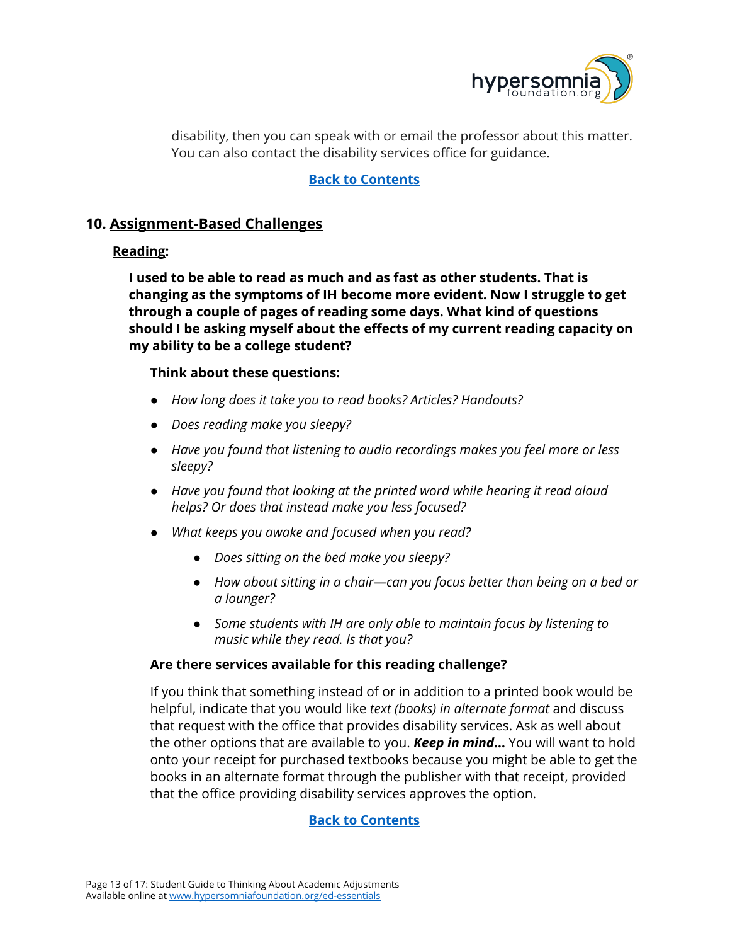

disability, then you can speak with or email the professor about this matter. You can also contact the disability services office for guidance.

#### **Back to [Contents](#page-0-0)**

## <span id="page-12-0"></span>**10. Assignment-Based Challenges**

#### <span id="page-12-1"></span>**Reading:**

**I used to be able to read as much and as fast as other students. That is changing as the symptoms of IH become more evident. Now I struggle to get through a couple of pages of reading some days. What kind of questions should I be asking myself about the effects of my current reading capacity on my ability to be a college student?**

#### **Think about these questions:**

- *● How long does it take you to read books? Articles? Handouts?*
- *● Does reading make you sleepy?*
- *● Have you found that listening to audio recordings makes you feel more or less sleepy?*
- *● Have you found that looking at the printed word while hearing it read aloud helps? Or does that instead make you less focused?*
- *● What keeps you awake and focused when you read?*
	- *● Does sitting on the bed make you sleepy?*
	- *● How about sitting in a chair—can you focus better than being on a bed or a lounger?*
	- *● Some students with IH are only able to maintain focus by listening to music while they read. Is that you?*

#### **Are there services available for this reading challenge?**

If you think that something instead of or in addition to a printed book would be helpful, indicate that you would like *text (books) in alternate format* and discuss that request with the office that provides disability services. Ask as well about the other options that are available to you. *Keep in mind***…** You will want to hold onto your receipt for purchased textbooks because you might be able to get the books in an alternate format through the publisher with that receipt, provided that the office providing disability services approves the option.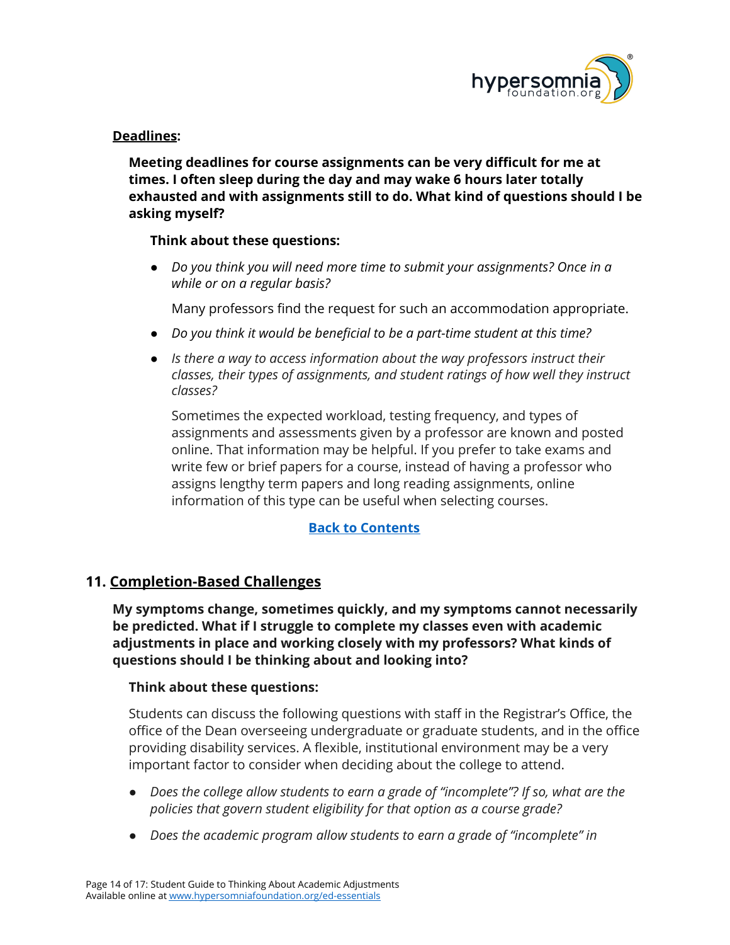

#### <span id="page-13-0"></span>**Deadlines:**

**Meeting deadlines for course assignments can be very difficult for me at times. I often sleep during the day and may wake 6 hours later totally exhausted and with assignments still to do. What kind of questions should I be asking myself?**

#### **Think about these questions:**

● *Do you think you will need more time to submit your assignments? Once in a while or on a regular basis?*

Many professors find the request for such an accommodation appropriate.

- *● Do you think it would be beneficial to be a part-time student at this time?*
- *● Is there a way to access information about the way professors instruct their classes, their types of assignments, and student ratings of how well they instruct classes?*

Sometimes the expected workload, testing frequency, and types of assignments and assessments given by a professor are known and posted online. That information may be helpful. If you prefer to take exams and write few or brief papers for a course, instead of having a professor who assigns lengthy term papers and long reading assignments, online information of this type can be useful when selecting courses.

#### **Back to [Contents](#page-0-0)**

#### <span id="page-13-1"></span>**11. Completion-Based Challenges**

**My symptoms change, sometimes quickly, and my symptoms cannot necessarily be predicted. What if I struggle to complete my classes even with academic adjustments in place and working closely with my professors? What kinds of questions should I be thinking about and looking into?**

#### **Think about these questions:**

Students can discuss the following questions with staff in the Registrar's Office, the office of the Dean overseeing undergraduate or graduate students, and in the office providing disability services. A flexible, institutional environment may be a very important factor to consider when deciding about the college to attend.

- *● Does the college allow students to earn a grade of "incomplete"? If so, what are the policies that govern student eligibility for that option as a course grade?*
- *● Does the academic program allow students to earn a grade of "incomplete" in*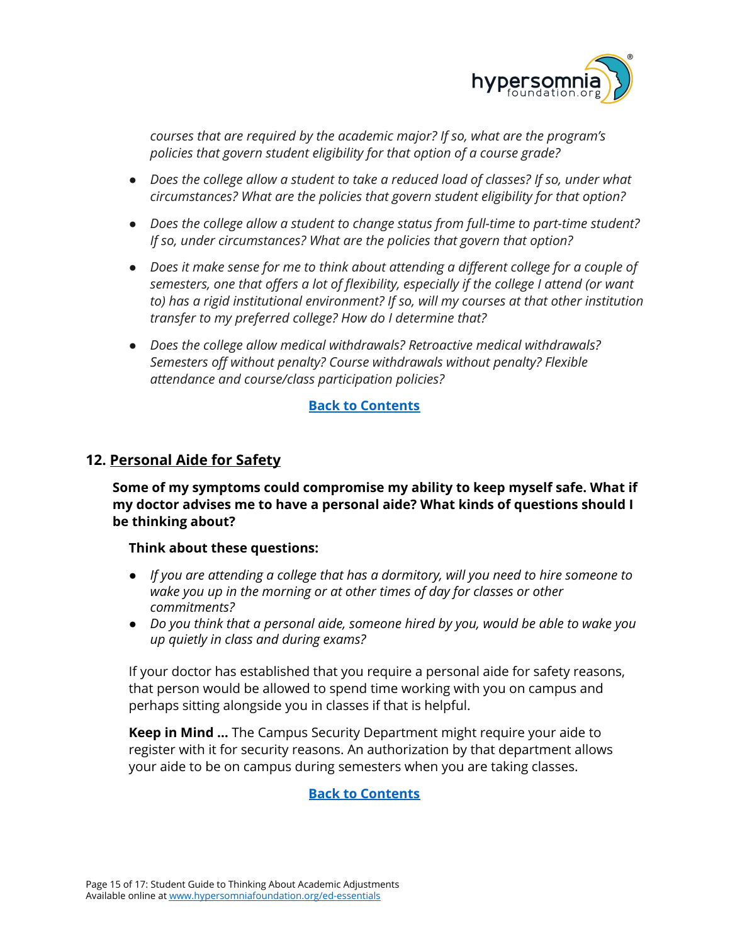

*courses that are required by the academic major? If so, what are the program's policies that govern student eligibility for that option of a course grade?*

- *● Does the college allow a student to take a reduced load of classes? If so, under what circumstances? What are the policies that govern student eligibility for that option?*
- *● Does the college allow a student to change status from full-time to part-time student? If so, under circumstances? What are the policies that govern that option?*
- *● Does it make sense for me to think about attending a different college for a couple of semesters, one that offers a lot of flexibility, especially if the college I attend (or want to) has a rigid institutional environment? If so, will my courses at that other institution transfer to my preferred college? How do I determine that?*
- *● Does the college allow medical withdrawals? Retroactive medical withdrawals? Semesters off without penalty? Course withdrawals without penalty? Flexible attendance and course/class participation policies?*

#### **Back to [Contents](#page-0-0)**

## <span id="page-14-0"></span>**12. Personal Aide for Safety**

**Some of my symptoms could compromise my ability to keep myself safe. What if my doctor advises me to have a personal aide? What kinds of questions should I be thinking about?**

#### **Think about these questions:**

- *● If you are attending a college that has a dormitory, will you need to hire someone to wake you up in the morning or at other times of day for classes or other commitments?*
- *Do you think that a personal aide, someone hired by you, would be able to wake you up quietly in class and during exams?*

If your doctor has established that you require a personal aide for safety reasons, that person would be allowed to spend time working with you on campus and perhaps sitting alongside you in classes if that is helpful.

**Keep in Mind …** The Campus Security Department might require your aide to register with it for security reasons. An authorization by that department allows your aide to be on campus during semesters when you are taking classes.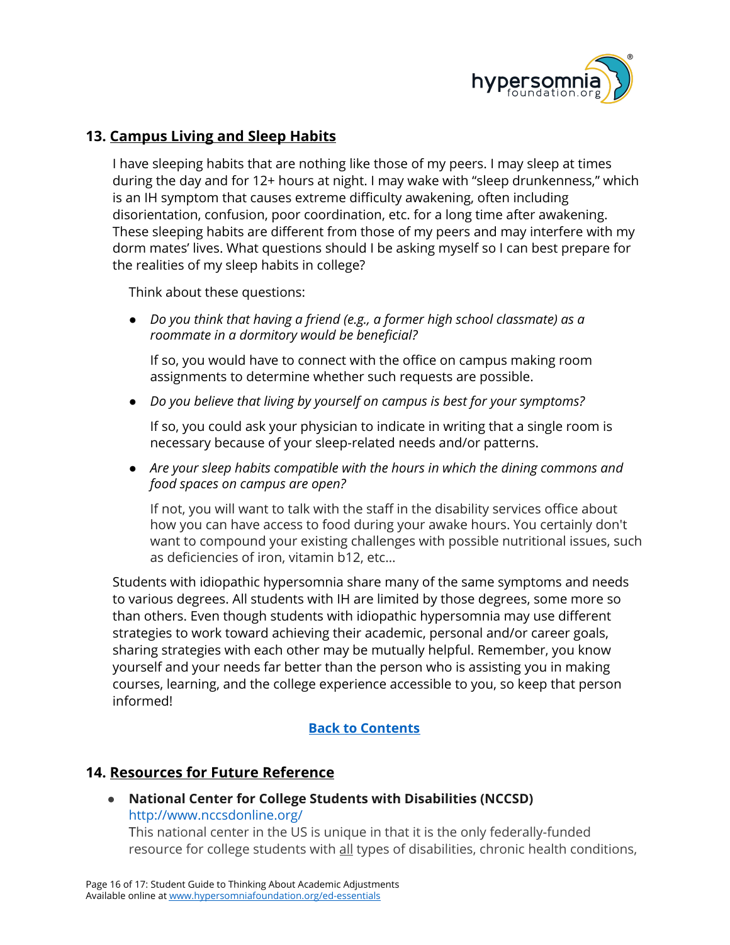

## <span id="page-15-0"></span>**13. Campus Living and Sleep Habits**

I have sleeping habits that are nothing like those of my peers. I may sleep at times during the day and for 12+ hours at night. I may wake with "sleep drunkenness," which is an IH symptom that causes extreme difficulty awakening, often including disorientation, confusion, poor coordination, etc. for a long time after awakening. These sleeping habits are different from those of my peers and may interfere with my dorm mates' lives. What questions should I be asking myself so I can best prepare for the realities of my sleep habits in college?

Think about these questions:

● *Do you think that having a friend (e.g., a former high school classmate) as a roommate in a dormitory would be beneficial?*

If so, you would have to connect with the office on campus making room assignments to determine whether such requests are possible.

● *Do you believe that living by yourself on campus is best for your symptoms?*

If so, you could ask your physician to indicate in writing that a single room is necessary because of your sleep-related needs and/or patterns.

● *Are your sleep habits compatible with the hours in which the dining commons and food spaces on campus are open?*

If not, you will want to talk with the staff in the disability services office about how you can have access to food during your awake hours. You certainly don't want to compound your existing challenges with possible nutritional issues, such as deficiencies of iron, vitamin b12, etc…

Students with idiopathic hypersomnia share many of the same symptoms and needs to various degrees. All students with IH are limited by those degrees, some more so than others. Even though students with idiopathic hypersomnia may use different strategies to work toward achieving their academic, personal and/or career goals, sharing strategies with each other may be mutually helpful. Remember, you know yourself and your needs far better than the person who is assisting you in making courses, learning, and the college experience accessible to you, so keep that person informed!

## **Back to [Contents](#page-0-0)**

#### <span id="page-15-1"></span>**14. Resources for Future Reference**

● **National Center for College Students with Disabilities (NCCSD)** <http://www.nccsdonline.org/>

This national center in the US is unique in that it is the only federally-funded resource for college students with all types of disabilities, chronic health conditions,